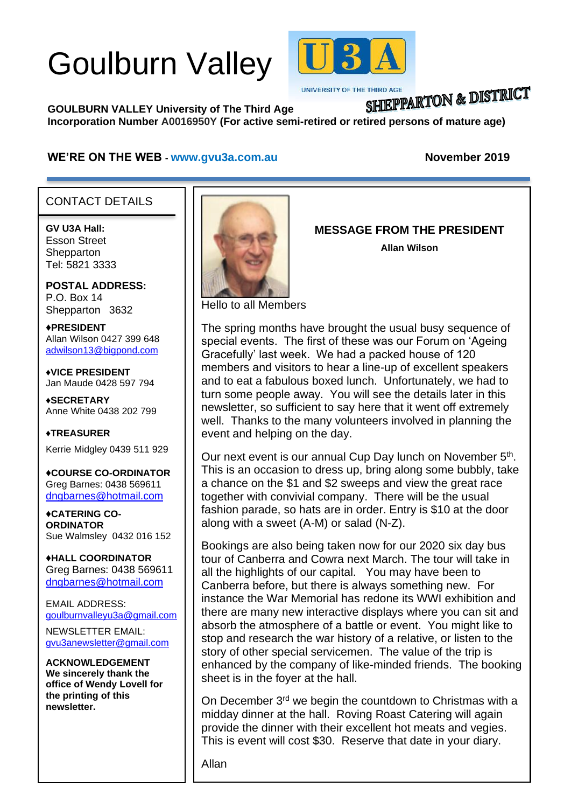# Goulburn Valley



UNIVERSITY OF THE THIRD AGE

# SHIEPPARTON & DISTRICT

**GOULBURN VALLEY University of The Third Age Incorporation Number A0016950Y (For active semi-retired or retired persons of mature age)**

#### **WE'RE ON THE WEB - [www.gvu3a.com.au](http://www.gvu3a.com.au/) November 2019**

#### CONTACT DETAILS

**GV U3A Hall:** Esson Street **Shepparton** Tel: 5821 3333

į

**POSTAL ADDRESS:** P.O. Box 14 Shepparton 3632

♦**PRESIDENT** Allan Wilson 0427 399 648 [adwilson13@bigpond.com](mailto:adwilson13@bigpond.com)

♦**VICE PRESIDENT** Jan Maude 0428 597 794

**♦SECRETARY** Anne White 0438 202 799

**♦TREASURER** Kerrie Midgley 0439 511 929

♦**COURSE CO-ORDINATOR** Greg Barnes: 0438 569611 [dngbarnes@hotmail.com](mailto:dngbarnes@hotmail.com)

♦**CATERING CO-ORDINATOR** Sue Walmsley 0432 016 152

♦**HALL COORDINATOR** Greg Barnes: 0438 569611 [dngbarnes@hotmail.com](mailto:dngbarnes@hotmail.com)

EMAIL ADDRESS: [goulburnvalleyu3a@gmail.com](mailto:goulburnvalleyu3a@gmail.com)

NEWSLETTER EMAIL: [gvu3anewsletter@gmail.com](mailto:gvu3anewsletter@gmail.com)

**ACKNOWLEDGEMENT We sincerely thank the office of Wendy Lovell for the printing of this newsletter.**



**MESSAGE FROM THE PRESIDENT**

**Allan Wilson**

Hello to all Members

The spring months have brought the usual busy sequence of special events. The first of these was our Forum on 'Ageing Gracefully' last week. We had a packed house of 120 members and visitors to hear a line-up of excellent speakers and to eat a fabulous boxed lunch. Unfortunately, we had to turn some people away. You will see the details later in this newsletter, so sufficient to say here that it went off extremely well. Thanks to the many volunteers involved in planning the event and helping on the day.

Our next event is our annual Cup Day lunch on November 5<sup>th</sup>. This is an occasion to dress up, bring along some bubbly, take a chance on the \$1 and \$2 sweeps and view the great race together with convivial company. There will be the usual fashion parade, so hats are in order. Entry is \$10 at the door along with a sweet (A-M) or salad (N-Z).

Bookings are also being taken now for our 2020 six day bus tour of Canberra and Cowra next March. The tour will take in all the highlights of our capital. You may have been to Canberra before, but there is always something new. For instance the War Memorial has redone its WWI exhibition and there are many new interactive displays where you can sit and absorb the atmosphere of a battle or event. You might like to stop and research the war history of a relative, or listen to the story of other special servicemen. The value of the trip is enhanced by the company of like-minded friends. The booking sheet is in the foyer at the hall.

On December 3<sup>rd</sup> we begin the countdown to Christmas with a midday dinner at the hall. Roving Roast Catering will again provide the dinner with their excellent hot meats and vegies. This is event will cost \$30. Reserve that date in your diary.

Allan

.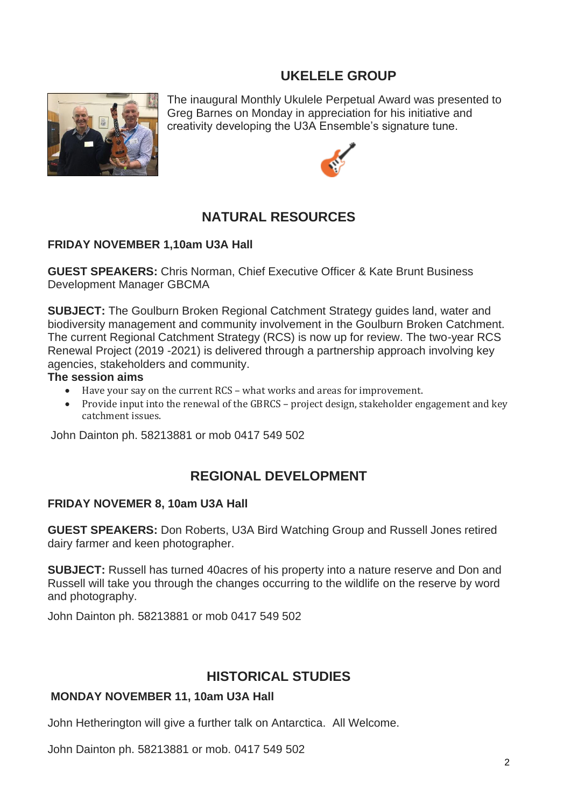# **UKELELE GROUP**



The inaugural Monthly Ukulele Perpetual Award was presented to Greg Barnes on Monday in appreciation for his initiative and creativity developing the U3A Ensemble's signature tune.



# **NATURAL RESOURCES**

#### **FRIDAY NOVEMBER 1,10am U3A Hall**

**GUEST SPEAKERS:** Chris Norman, Chief Executive Officer & Kate Brunt Business Development Manager GBCMA

**SUBJECT:** The Goulburn Broken Regional Catchment Strategy guides land, water and biodiversity management and community involvement in the Goulburn Broken Catchment. The current Regional Catchment Strategy (RCS) is now up for review. The two-year RCS Renewal Project (2019 -2021) is delivered through a partnership approach involving key agencies, stakeholders and community.

#### **The session aims**

- Have your say on the current RCS what works and areas for improvement.
- Provide input into the renewal of the GBRCS project design, stakeholder engagement and key catchment issues.

John Dainton ph. 58213881 or mob 0417 549 502

# **REGIONAL DEVELOPMENT**

#### **FRIDAY NOVEMER 8, 10am U3A Hall**

**GUEST SPEAKERS:** Don Roberts, U3A Bird Watching Group and Russell Jones retired dairy farmer and keen photographer.

**SUBJECT:** Russell has turned 40acres of his property into a nature reserve and Don and Russell will take you through the changes occurring to the wildlife on the reserve by word and photography.

John Dainton ph. 58213881 or mob 0417 549 502

# **HISTORICAL STUDIES**

#### **MONDAY NOVEMBER 11, 10am U3A Hall**

John Hetherington will give a further talk on Antarctica. All Welcome.

John Dainton ph. 58213881 or mob. 0417 549 502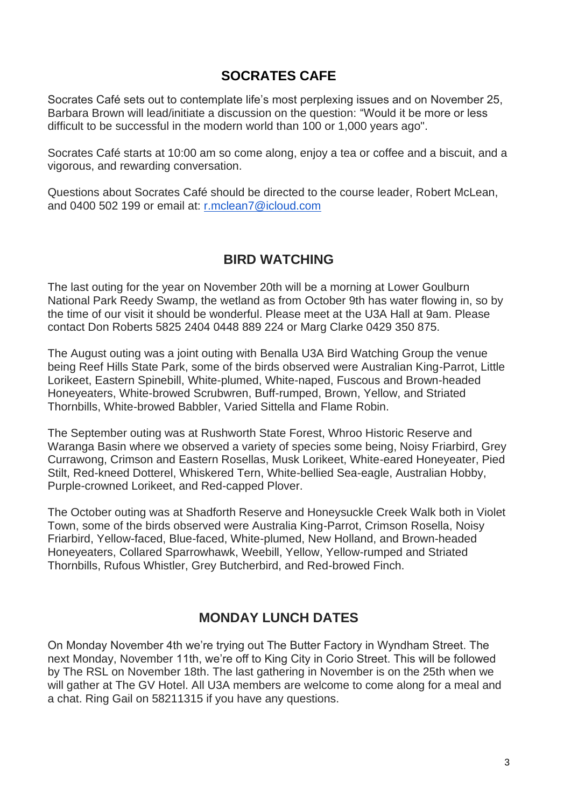# **SOCRATES CAFE**

Socrates Café sets out to contemplate life's most perplexing issues and on November 25, Barbara Brown will lead/initiate a discussion on the question: "Would it be more or less difficult to be successful in the modern world than 100 or 1,000 years ago".

Socrates Café starts at 10:00 am so come along, enjoy a tea or coffee and a biscuit, and a vigorous, and rewarding conversation.

Questions about Socrates Café should be directed to the course leader, Robert McLean, and 0400 502 199 or email at: [r.mclean7@icloud.com](mailto:r.mclean7@icloud.com)

### **BIRD WATCHING**

The last outing for the year on November 20th will be a morning at Lower Goulburn National Park Reedy Swamp, the wetland as from October 9th has water flowing in, so by the time of our visit it should be wonderful. Please meet at the U3A Hall at 9am. Please contact Don Roberts 5825 2404 0448 889 224 or Marg Clarke 0429 350 875.

The August outing was a joint outing with Benalla U3A Bird Watching Group the venue being Reef Hills State Park, some of the birds observed were Australian King-Parrot, Little Lorikeet, Eastern Spinebill, White-plumed, White-naped, Fuscous and Brown-headed Honeyeaters, White-browed Scrubwren, Buff-rumped, Brown, Yellow, and Striated Thornbills, White-browed Babbler, Varied Sittella and Flame Robin.

The September outing was at Rushworth State Forest, Whroo Historic Reserve and Waranga Basin where we observed a variety of species some being, Noisy Friarbird, Grey Currawong, Crimson and Eastern Rosellas, Musk Lorikeet, White-eared Honeyeater, Pied Stilt, Red-kneed Dotterel, Whiskered Tern, White-bellied Sea-eagle, Australian Hobby, Purple-crowned Lorikeet, and Red-capped Plover.

The October outing was at Shadforth Reserve and Honeysuckle Creek Walk both in Violet Town, some of the birds observed were Australia King-Parrot, Crimson Rosella, Noisy Friarbird, Yellow-faced, Blue-faced, White-plumed, New Holland, and Brown-headed Honeyeaters, Collared Sparrowhawk, Weebill, Yellow, Yellow-rumped and Striated Thornbills, Rufous Whistler, Grey Butcherbird, and Red-browed Finch.

## **MONDAY LUNCH DATES**

On Monday November 4th we're trying out The Butter Factory in Wyndham Street. The next Monday, November 11th, we're off to King City in Corio Street. This will be followed by The RSL on November 18th. The last gathering in November is on the 25th when we will gather at The GV Hotel. All U3A members are welcome to come along for a meal and a chat. Ring Gail on 58211315 if you have any questions.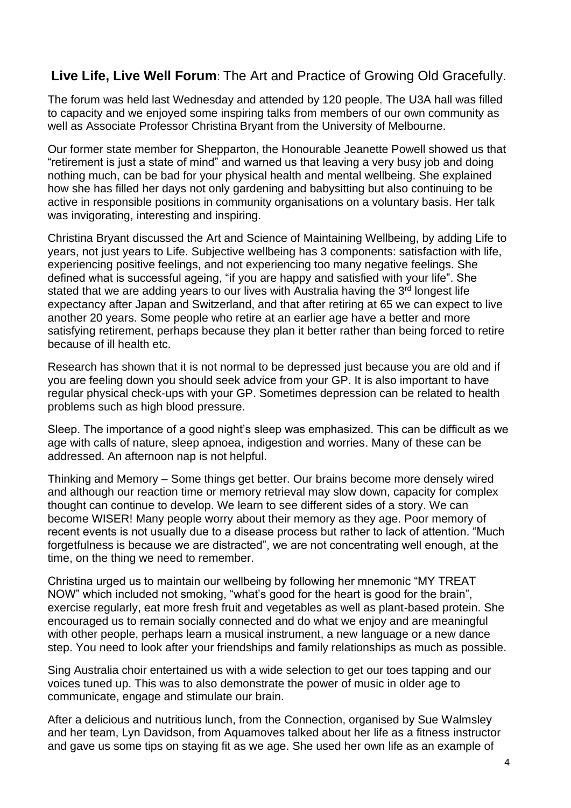# **Live Life, Live Well Forum**: The Art and Practice of Growing Old Gracefully.

The forum was held last Wednesday and attended by 120 people. The U3A hall was filled to capacity and we enjoyed some inspiring talks from members of our own community as well as Associate Professor Christina Bryant from the University of Melbourne.

Our former state member for Shepparton, the Honourable Jeanette Powell showed us that "retirement is just a state of mind" and warned us that leaving a very busy job and doing nothing much, can be bad for your physical health and mental wellbeing. She explained how she has filled her days not only gardening and babysitting but also continuing to be active in responsible positions in community organisations on a voluntary basis. Her talk was invigorating, interesting and inspiring.

Christina Bryant discussed the Art and Science of Maintaining Wellbeing, by adding Life to years, not just years to Life. Subjective wellbeing has 3 components: satisfaction with life, experiencing positive feelings, and not experiencing too many negative feelings. She defined what is successful ageing, "if you are happy and satisfied with your life". She stated that we are adding years to our lives with Australia having the 3<sup>rd</sup> longest life expectancy after Japan and Switzerland, and that after retiring at 65 we can expect to live another 20 years. Some people who retire at an earlier age have a better and more satisfying retirement, perhaps because they plan it better rather than being forced to retire because of ill health etc.

Research has shown that it is not normal to be depressed just because you are old and if you are feeling down you should seek advice from your GP. It is also important to have regular physical check-ups with your GP. Sometimes depression can be related to health problems such as high blood pressure.

Sleep. The importance of a good night's sleep was emphasized. This can be difficult as we age with calls of nature, sleep apnoea, indigestion and worries. Many of these can be addressed. An afternoon nap is not helpful.

Thinking and Memory – Some things get better. Our brains become more densely wired and although our reaction time or memory retrieval may slow down, capacity for complex thought can continue to develop. We learn to see different sides of a story. We can become WISER! Many people worry about their memory as they age. Poor memory of recent events is not usually due to a disease process but rather to lack of attention. "Much forgetfulness is because we are distracted", we are not concentrating well enough, at the time, on the thing we need to remember.

Christina urged us to maintain our wellbeing by following her mnemonic "MY TREAT NOW" which included not smoking, "what's good for the heart is good for the brain", exercise regularly, eat more fresh fruit and vegetables as well as plant-based protein. She encouraged us to remain socially connected and do what we enjoy and are meaningful with other people, perhaps learn a musical instrument, a new language or a new dance step. You need to look after your friendships and family relationships as much as possible.

Sing Australia choir entertained us with a wide selection to get our toes tapping and our voices tuned up. This was to also demonstrate the power of music in older age to communicate, engage and stimulate our brain.

After a delicious and nutritious lunch, from the Connection, organised by Sue Walmsley and her team, Lyn Davidson, from Aquamoves talked about her life as a fitness instructor and gave us some tips on staying fit as we age. She used her own life as an example of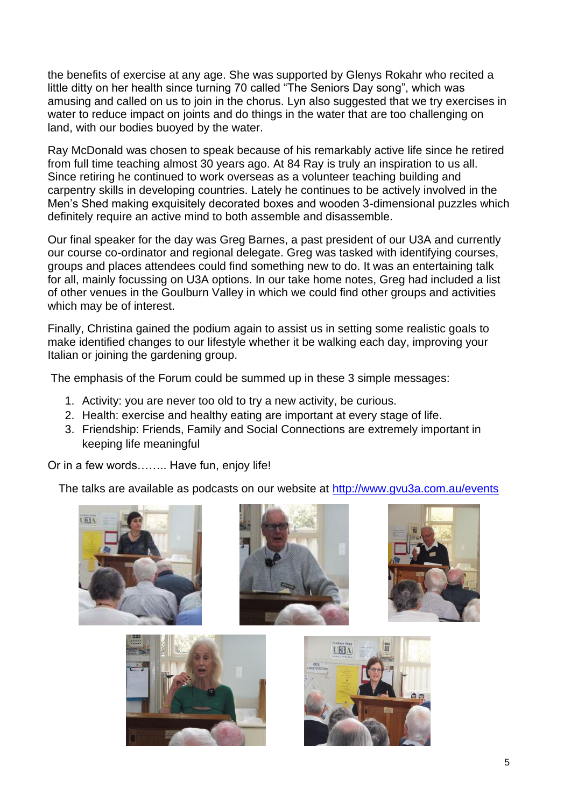the benefits of exercise at any age. She was supported by Glenys Rokahr who recited a little ditty on her health since turning 70 called "The Seniors Day song", which was amusing and called on us to join in the chorus. Lyn also suggested that we try exercises in water to reduce impact on joints and do things in the water that are too challenging on land, with our bodies buoyed by the water.

Ray McDonald was chosen to speak because of his remarkably active life since he retired from full time teaching almost 30 years ago. At 84 Ray is truly an inspiration to us all. Since retiring he continued to work overseas as a volunteer teaching building and carpentry skills in developing countries. Lately he continues to be actively involved in the Men's Shed making exquisitely decorated boxes and wooden 3-dimensional puzzles which definitely require an active mind to both assemble and disassemble.

Our final speaker for the day was Greg Barnes, a past president of our U3A and currently our course co-ordinator and regional delegate. Greg was tasked with identifying courses, groups and places attendees could find something new to do. It was an entertaining talk for all, mainly focussing on U3A options. In our take home notes, Greg had included a list of other venues in the Goulburn Valley in which we could find other groups and activities which may be of interest.

Finally, Christina gained the podium again to assist us in setting some realistic goals to make identified changes to our lifestyle whether it be walking each day, improving your Italian or joining the gardening group.

The emphasis of the Forum could be summed up in these 3 simple messages:

- 1. Activity: you are never too old to try a new activity, be curious.
- 2. Health: exercise and healthy eating are important at every stage of life.
- 3. Friendship: Friends, Family and Social Connections are extremely important in keeping life meaningful

Or in a few words…….. Have fun, enjoy life!

The talks are available as podcasts on our website at <http://www.gvu3a.com.au/events>

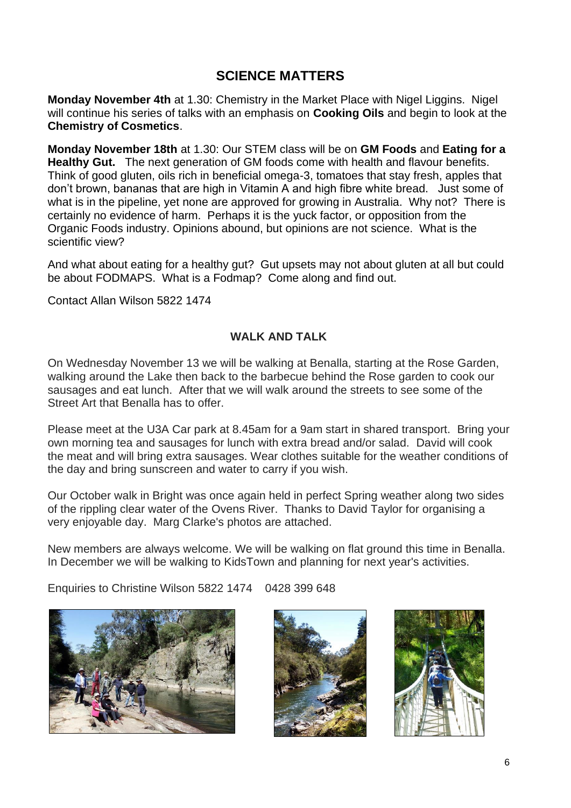# **SCIENCE MATTERS**

**Monday November 4th** at 1.30: Chemistry in the Market Place with Nigel Liggins. Nigel will continue his series of talks with an emphasis on **Cooking Oils** and begin to look at the **Chemistry of Cosmetics**.

**Monday November 18th** at 1.30: Our STEM class will be on **GM Foods** and **Eating for a Healthy Gut.** The next generation of GM foods come with health and flavour benefits. Think of good gluten, oils rich in beneficial omega-3, tomatoes that stay fresh, apples that don't brown, bananas that are high in Vitamin A and high fibre white bread. Just some of what is in the pipeline, yet none are approved for growing in Australia. Why not? There is certainly no evidence of harm. Perhaps it is the yuck factor, or opposition from the Organic Foods industry. Opinions abound, but opinions are not science. What is the scientific view?

And what about eating for a healthy gut? Gut upsets may not about gluten at all but could be about FODMAPS. What is a Fodmap? Come along and find out.

Contact Allan Wilson 5822 1474

#### **WALK AND TALK**

On Wednesday November 13 we will be walking at Benalla, starting at the Rose Garden, walking around the Lake then back to the barbecue behind the Rose garden to cook our sausages and eat lunch. After that we will walk around the streets to see some of the Street Art that Benalla has to offer.

Please meet at the U3A Car park at 8.45am for a 9am start in shared transport. Bring your own morning tea and sausages for lunch with extra bread and/or salad. David will cook the meat and will bring extra sausages. Wear clothes suitable for the weather conditions of the day and bring sunscreen and water to carry if you wish.

Our October walk in Bright was once again held in perfect Spring weather along two sides of the rippling clear water of the Ovens River. Thanks to David Taylor for organising a very enjoyable day. Marg Clarke's photos are attached.

New members are always welcome. We will be walking on flat ground this time in Benalla. In December we will be walking to KidsTown and planning for next year's activities.

Enquiries to Christine Wilson 5822 1474 0428 399 648





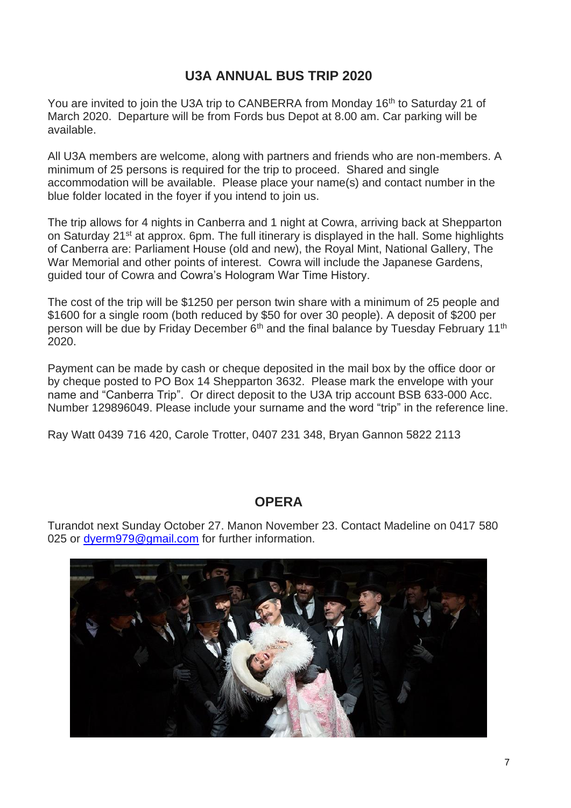# **U3A ANNUAL BUS TRIP 2020**

You are invited to join the U3A trip to CANBERRA from Monday 16<sup>th</sup> to Saturday 21 of March 2020. Departure will be from Fords bus Depot at 8.00 am. Car parking will be available.

All U3A members are welcome, along with partners and friends who are non-members. A minimum of 25 persons is required for the trip to proceed. Shared and single accommodation will be available. Please place your name(s) and contact number in the blue folder located in the foyer if you intend to join us.

The trip allows for 4 nights in Canberra and 1 night at Cowra, arriving back at Shepparton on Saturday 21<sup>st</sup> at approx. 6pm. The full itinerary is displayed in the hall. Some highlights of Canberra are: Parliament House (old and new), the Royal Mint, National Gallery, The War Memorial and other points of interest. Cowra will include the Japanese Gardens, guided tour of Cowra and Cowra's Hologram War Time History.

The cost of the trip will be \$1250 per person twin share with a minimum of 25 people and \$1600 for a single room (both reduced by \$50 for over 30 people). A deposit of \$200 per person will be due by Friday December 6<sup>th</sup> and the final balance by Tuesday February 11<sup>th</sup> 2020.

Payment can be made by cash or cheque deposited in the mail box by the office door or by cheque posted to PO Box 14 Shepparton 3632. Please mark the envelope with your name and "Canberra Trip". Or direct deposit to the U3A trip account BSB 633-000 Acc. Number 129896049. Please include your surname and the word "trip" in the reference line.

Ray Watt 0439 716 420, Carole Trotter, 0407 231 348, Bryan Gannon 5822 2113

#### **OPERA**

Turandot next Sunday October 27. Manon November 23. Contact Madeline on 0417 580 025 or [dyerm979@gmail.com](mailto:dyerm979@gmail.com) for further information.

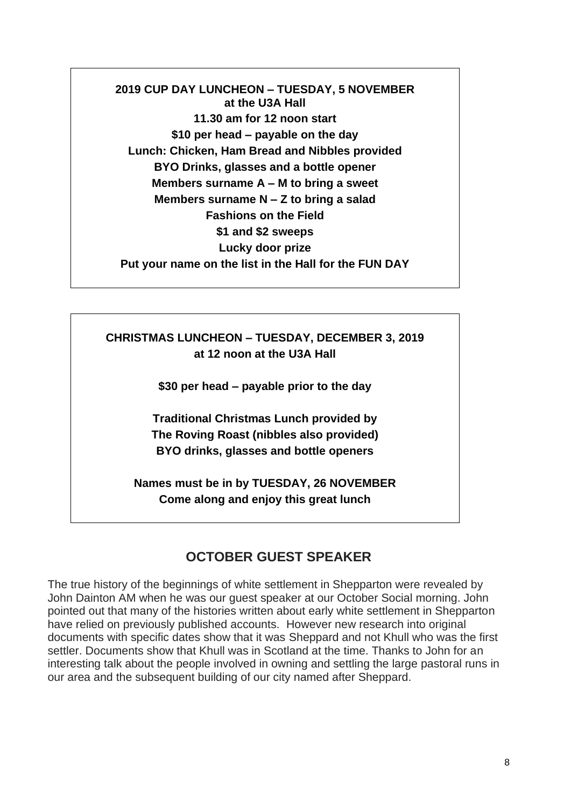**2019 CUP DAY LUNCHEON – TUESDAY, 5 NOVEMBER at the U3A Hall 11.30 am for 12 noon start \$10 per head – payable on the day Lunch: Chicken, Ham Bread and Nibbles provided BYO Drinks, glasses and a bottle opener Members surname A – M to bring a sweet Members surname N – Z to bring a salad Fashions on the Field \$1 and \$2 sweeps Lucky door prize Put your name on the list in the Hall for the FUN DAY**

**CHRISTMAS LUNCHEON – TUESDAY, DECEMBER 3, 2019 at 12 noon at the U3A Hall**

**\$30 per head – payable prior to the day**

**Traditional Christmas Lunch provided by The Roving Roast (nibbles also provided) BYO drinks, glasses and bottle openers**

**Names must be in by TUESDAY, 26 NOVEMBER Come along and enjoy this great lunch**

## **OCTOBER GUEST SPEAKER**

The true history of the beginnings of white settlement in Shepparton were revealed by John Dainton AM when he was our guest speaker at our October Social morning. John pointed out that many of the histories written about early white settlement in Shepparton have relied on previously published accounts. However new research into original documents with specific dates show that it was Sheppard and not Khull who was the first settler. Documents show that Khull was in Scotland at the time. Thanks to John for an interesting talk about the people involved in owning and settling the large pastoral runs in our area and the subsequent building of our city named after Sheppard.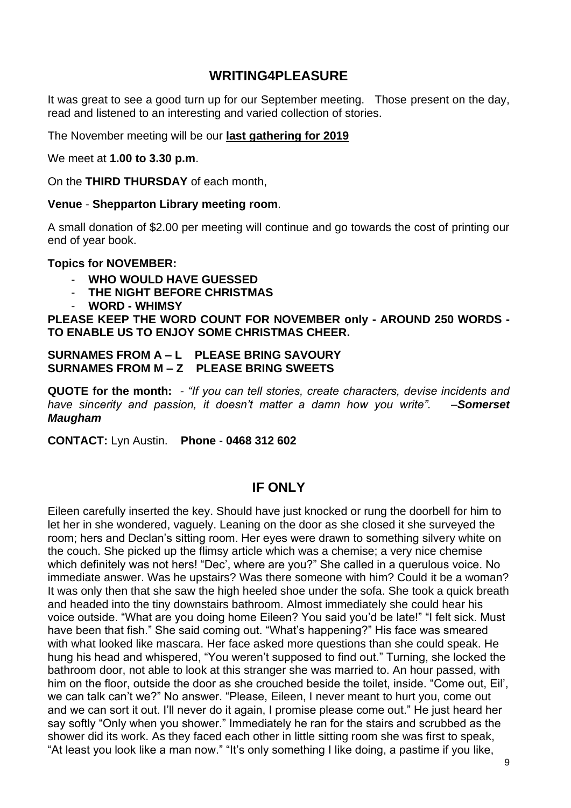#### **WRITING4PLEASURE**

It was great to see a good turn up for our September meeting. Those present on the day, read and listened to an interesting and varied collection of stories.

The November meeting will be our **last gathering for 2019**

We meet at **1.00 to 3.30 p.m**.

On the **THIRD THURSDAY** of each month,

#### **Venue** - **Shepparton Library meeting room**.

A small donation of \$2.00 per meeting will continue and go towards the cost of printing our end of year book.

#### **Topics for NOVEMBER:**

- **WHO WOULD HAVE GUESSED**
- **THE NIGHT BEFORE CHRISTMAS**
- **WORD - WHIMSY**

**PLEASE KEEP THE WORD COUNT FOR NOVEMBER only - AROUND 250 WORDS - TO ENABLE US TO ENJOY SOME CHRISTMAS CHEER.**

#### **SURNAMES FROM A – L PLEASE BRING SAVOURY SURNAMES FROM M – Z PLEASE BRING SWEETS**

**QUOTE for the month:** *- "If you can tell stories, create characters, devise incidents and have sincerity and passion, it doesn't matter a damn how you write". –Somerset Maugham* 

**CONTACT:** Lyn Austin. **Phone** - **0468 312 602**

#### **IF ONLY**

Eileen carefully inserted the key. Should have just knocked or rung the doorbell for him to let her in she wondered, vaguely. Leaning on the door as she closed it she surveyed the room; hers and Declan's sitting room. Her eyes were drawn to something silvery white on the couch. She picked up the flimsy article which was a chemise; a very nice chemise which definitely was not hers! "Dec', where are you?" She called in a querulous voice. No immediate answer. Was he upstairs? Was there someone with him? Could it be a woman? It was only then that she saw the high heeled shoe under the sofa. She took a quick breath and headed into the tiny downstairs bathroom. Almost immediately she could hear his voice outside. "What are you doing home Eileen? You said you'd be late!" "I felt sick. Must have been that fish." She said coming out. "What's happening?" His face was smeared with what looked like mascara. Her face asked more questions than she could speak. He hung his head and whispered, "You weren't supposed to find out." Turning, she locked the bathroom door, not able to look at this stranger she was married to. An hour passed, with him on the floor, outside the door as she crouched beside the toilet, inside. "Come out, Eil', we can talk can't we?" No answer. "Please, Eileen, I never meant to hurt you, come out and we can sort it out. I'll never do it again, I promise please come out." He just heard her say softly "Only when you shower." Immediately he ran for the stairs and scrubbed as the shower did its work. As they faced each other in little sitting room she was first to speak, "At least you look like a man now." "It's only something I like doing, a pastime if you like,